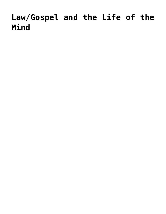## **[Law/Gospel and the Life of the](https://crossings.org/law-gospel-and-the-life-of-the-mind/) [Mind](https://crossings.org/law-gospel-and-the-life-of-the-mind/)**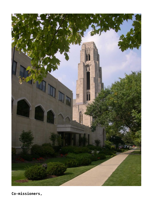

**Co-missioners,**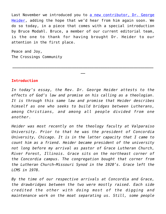Last November we introduced you to [a new contributor, Dr. George](https://crossings.org/what-if-as-a-tool-for-law-gospel-discernment/) [Heider,](https://crossings.org/what-if-as-a-tool-for-law-gospel-discernment/) adding the hope that we'd hear from him again soon. We do so today, in a piece that comes with a special introduction by Bruce Modahl. Bruce, a member of our current editorial team, is the one to thank for having brought Dr. Heider to our attention in the first place.

Peace and Joy, The Crossings Community

## **Introduction**

*In today's essay, the Rev. Dr. George Heider attests to the effects of God's law and promise on his calling as a theologian. It is through this same law and promise that Heider describes himself as one who seeks to build bridges between Lutherans, among Christians, and among all people divided from one another.*

**\_\_\_\_\_\_\_\_\_\_\_\_\_\_\_\_\_\_\_\_\_\_\_\_\_\_\_\_\_\_\_\_\_\_\_\_\_\_\_\_\_\_\_\_\_\_\_\_\_\_\_\_\_\_\_\_\_\_\_\_\_\_\_\_**

**\_\_**

*Heider was most recently on the theology faculty at Valparaiso University. Prior to that he was the president of Concordia University, Chicago. It is in the latter capacity that I came to count him as a friend. Heider became president of the university not long before my arrival as pastor of Grace Lutheran Church, River Forest, Illinois. Grace sits on the northeast corner of the Concordia campus. The congregation bought that corner from the Lutheran Church—Missouri Synod in the 1920's. Grace left the LCMS in 1978.*

*By the time of our respective arrivals at Concordia and Grace, the drawbridges between the two were mostly raised. Each side credited the other with doing most of the digging and maintenance work on the moat separating us. Still, some people*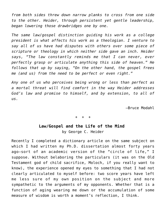*from both sides threw down narrow planks to cross from one side to the other. Heider, through persistent yet gentle leadership, began lowering those drawbridges one by one.*

*The same law/gospel distinction guiding his work as a college president is what affects his work as a theologian. I venture to say all of us have had disputes with others over some piece of scripture or theology in which neither side gave an inch. Heider says, "The law constantly reminds me that I can never, ever perfectly grasp or articulate anything this side of heaven." He follows that up by saying, "On the other hand, the gospel frees me (and us) from the need to be perfect or even right."*

*Any one of us who perceives being wrong or less than perfect as a mortal threat will find comfort in the way Heider addresses God's law and promise to himself, and by extension, to all of us.*

—Bruce Modahl

+ + +

## **Law/Gospel and the Life of the Mind** by George C. Heider

Recently I completed a dictionary article on the same subject on which I had written my Ph.D. dissertation almost forty years ago—sort of an academic version of the "circle of life," I suppose. Without belaboring the particulars (it was on the Old Testament god of child sacrifice, Moloch, if you really want to know), the experience opened my eyes to something that I had not clearly articulated to myself before: two score years have left me less sure of my own position on the subject and more sympathetic to the arguments of my opponents. Whether that is a function of aging wearing me down or the accumulation of some measure of wisdom is worth a moment's reflection, I think.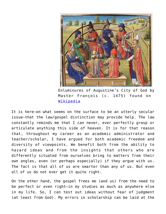

Enluminures of Augustine's City of God by Master François (c. 1475) found on [Wikipedia](https://upload.wikimedia.org/wikipedia/commons/e/eb/Augustine_%26_Master_Fran%C3%A7ois_-_City_of_God_-_The_Hague%2C_10_A_11_fol._35v_-Scipio_Nasica_discussing_theatrical_performances_with_a_group_of_scholars.jpg)

It is here—on what seems on the surface to be an utterly secular issue—that the law/gospel distinction may provide help. The law constantly reminds me that I can never, ever perfectly grasp or articulate anything this side of heaven. It is for that reason that, throughout my career as an academic administrator and teacher/scholar, I have argued for both academic freedom and diversity of viewpoints. We benefit both from the ability to hazard ideas and from the insights that others who are differently situated from ourselves bring to matters from their own angles, even (or perhaps especially) if they argue with us. The fact is that all of us are smarter than any of us. But even all of us do not ever get it quite right.

On the other hand, the gospel frees me (and us) from the need to be perfect or even right—in my studies as much as anywhere else in my life. So, I can test out ideas without fear of judgment (at least from God). My errors in scholarship can be laid at the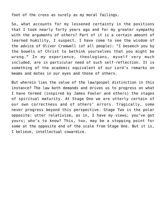foot of the cross as surely as my moral failings.

So, what accounts for my lessened certainty in the positions that I took nearly forty years ago and for my greater sympathy with the arguments of others? Part of it is a certain amount of learned humility, I suspect. I have come to see the wisdom of the advice of Oliver Cromwell (of all people): "I beseech you by the bowels of Christ to bethink yourselves that you might be wrong." In my experience, theologians, myself very much included, are in particular need of such self-reflection. It is something of the academic equivalent of our Lord's remarks on beams and motes in our eyes and those of others.

But wherein lies the value of the law/gospel distinction in this instance? The law both demands and drives us to progress on what I have termed (inspired by James Fowler and others) the stages of spiritual maturity. At Stage One we are utterly certain of our own correctness and of others' errors. Tragically, some never progress beyond this perspective. Stage Two is the polar opposite: utter relativism, as in, I have my views; you've got yours; who's to know? This, too, may be a stopping point for some at the opposite end of the scale from Stage One. But it is, I believe, intellectual cowardice.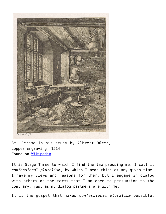

St. Jerome in his study by Albrect Dürer, copper engraving, 1514. Found on [Wikipedia](https://upload.wikimedia.org/wikipedia/commons/e/eb/Augustine_%26_Master_Fran%C3%A7ois_-_City_of_God_-_The_Hague%2C_10_A_11_fol._35v_-Scipio_Nasica_discussing_theatrical_performances_with_a_group_of_scholars.jpg)

It is Stage Three to which I find the law pressing me. I call it *confessional pluralism*, by which I mean this: at any given time, I have my views and reasons for them, but I engage in dialog with others on the terms that I am open to persuasion to the contrary, just as my dialog partners are with me.

It is the gospel that makes *confessional pluralism* possible,